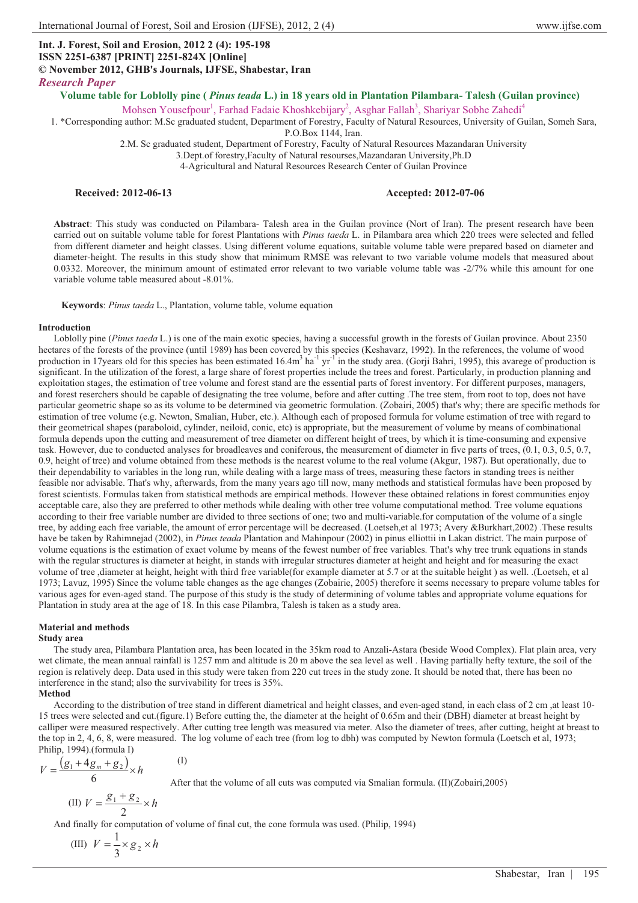# **Int. J. Forest, Soil and Erosion, 2012 2 (4): 195-198 ISSN 2251-6387 [PRINT] 2251-824X [Online]**

**© November 2012, GHB's Journals, IJFSE, Shabestar, Iran**

*Research Paper*

**Volume table for Loblolly pine (** *Pinus teada* **L.) in 18 years old in Plantation Pilambara- Talesh (Guilan province)** 

Mohsen Yousefpour<sup>1</sup>, Farhad Fadaie Khoshkebijary<sup>2</sup>, Asghar Fallah<sup>3</sup>, Shariyar Sobhe Zahedi<sup>4</sup>

1. \*Corresponding author: M.Sc graduated student, Department of Forestry, Faculty of Natural Resources, University of Guilan, Someh Sara,

P.O.Box 1144, Iran.

2.M. Sc graduated student, Department of Forestry, Faculty of Natural Resources Mazandaran University

3.Dept.of forestry,Faculty of Natural resourses,Mazandaran University,Ph.D

4-Agricultural and Natural Resources Research Center of Guilan Province

### **Received: 2012-06-13 Accepted: 2012-07-06**

**Abstract**: This study was conducted on Pilambara- Talesh area in the Guilan province (Nort of Iran). The present research have been carried out on suitable volume table for forest Plantations with *Pinus taeda* L. in Pilambara area which 220 trees were selected and felled from different diameter and height classes. Using different volume equations, suitable volume table were prepared based on diameter and diameter-height. The results in this study show that minimum RMSE was relevant to two variable volume models that measured about 0.0332. Moreover, the minimum amount of estimated error relevant to two variable volume table was -2/7% while this amount for one variable volume table measured about -8.01%.

**Keywords**: *Pinus taeda* L., Plantation, volume table, volume equation

### **Introduction**

Loblolly pine (*Pinus taeda* L.) is one of the main exotic species, having a successful growth in the forests of Guilan province. About 2350 hectares of the forests of the province (until 1989) has been covered by this species (Keshavarz, 1992). In the references, the volume of wood production in 17 years old for this species has been estimated  $16.4m<sup>3</sup>$  ha<sup>-1</sup> yr<sup>-1</sup> in the study area. (Gorji Bahri, 1995), this avarege of production is significant. In the utilization of the forest, a large share of forest properties include the trees and forest. Particularly, in production planning and exploitation stages, the estimation of tree volume and forest stand are the essential parts of forest inventory. For different purposes, managers, and forest reserchers should be capable of designating the tree volume, before and after cutting .The tree stem, from root to top, does not have particular geometric shape so as its volume to be determined via geometric formulation. (Zobairi, 2005) that's why; there are specific methods for estimation of tree volume (e.g. Newton, Smalian, Huber, etc.). Although each of proposed formula for volume estimation of tree with regard to their geometrical shapes (paraboloid, cylinder, neiloid, conic, etc) is appropriate, but the measurement of volume by means of combinational formula depends upon the cutting and measurement of tree diameter on different height of trees, by which it is time-consuming and expensive task. However, due to conducted analyses for broadleaves and coniferous, the measurement of diameter in five parts of trees, (0.1, 0.3, 0.5, 0.7, 0.9, height of tree) and volume obtained from these methods is the nearest volume to the real volume (Akgur, 1987). But operationally, due to their dependability to variables in the long run, while dealing with a large mass of trees, measuring these factors in standing trees is neither feasible nor advisable. That's why, afterwards, from the many years ago till now, many methods and statistical formulas have been proposed by forest scientists. Formulas taken from statistical methods are empirical methods. However these obtained relations in forest communities enjoy acceptable care, also they are preferred to other methods while dealing with other tree volume computational method. Tree volume equations according to their free variable number are divided to three sections of one; two and multi-variable.for computation of the volume of a single tree, by adding each free variable, the amount of error percentage will be decreased. (Loetseh,et al 1973; Avery &Burkhart,2002) .These results have be taken by Rahimnejad (2002), in *Pinus teada* Plantation and Mahinpour (2002) in pinus elliottii in Lakan district. The main purpose of volume equations is the estimation of exact volume by means of the fewest number of free variables. That's why tree trunk equations in stands with the regular structures is diameter at height, in stands with irregular structures diameter at height and height and for measuring the exact volume of tree ,diameter at height, height with third free variable(for example diameter at 5.7 or at the suitable height ) as well. .(Loetseh, et al 1973; Lavuz, 1995) Since the volume table changes as the age changes (Zobairie, 2005) therefore it seems necessary to prepare volume tables for various ages for even-aged stand. The purpose of this study is the study of determining of volume tables and appropriate volume equations for Plantation in study area at the age of 18. In this case Pilambra, Talesh is taken as a study area.

#### **Material and methods**

#### **Study area**

The study area, Pilambara Plantation area, has been located in the 35km road to Anzali-Astara (beside Wood Complex). Flat plain area, very wet climate, the mean annual rainfall is 1257 mm and altitude is 20 m above the sea level as well . Having partially hefty texture, the soil of the region is relatively deep. Data used in this study were taken from 220 cut trees in the study zone. It should be noted that, there has been no interference in the stand; also the survivability for trees is 35%.

#### **Method**

According to the distribution of tree stand in different diametrical and height classes, and even-aged stand, in each class of 2 cm ,at least 10- 15 trees were selected and cut.(figure.1) Before cutting the, the diameter at the height of 0.65m and their (DBH) diameter at breast height by calliper were measured respectively. After cutting tree length was measured via meter. Also the diameter of trees, after cutting, height at breast to the top in 2, 4, 6, 8, were measured. The log volume of each tree (from log to dbh) was computed by Newton formula (Loetsch et al, 1973; Philip, 1994).(formula I)

$$
V = \frac{\left(g_1 + 4g_m + g_2\right)}{6} \times h
$$

After that the volume of all cuts was computed via Smalian formula. (II)(Zobairi,2005)

(II) 
$$
V = \frac{g_1 + g_2}{2} \times h
$$

And finally for computation of volume of final cut, the cone formula was used. (Philip, 1994)

(I)

(III)  $V = \frac{1}{3} \times g_2 \times h$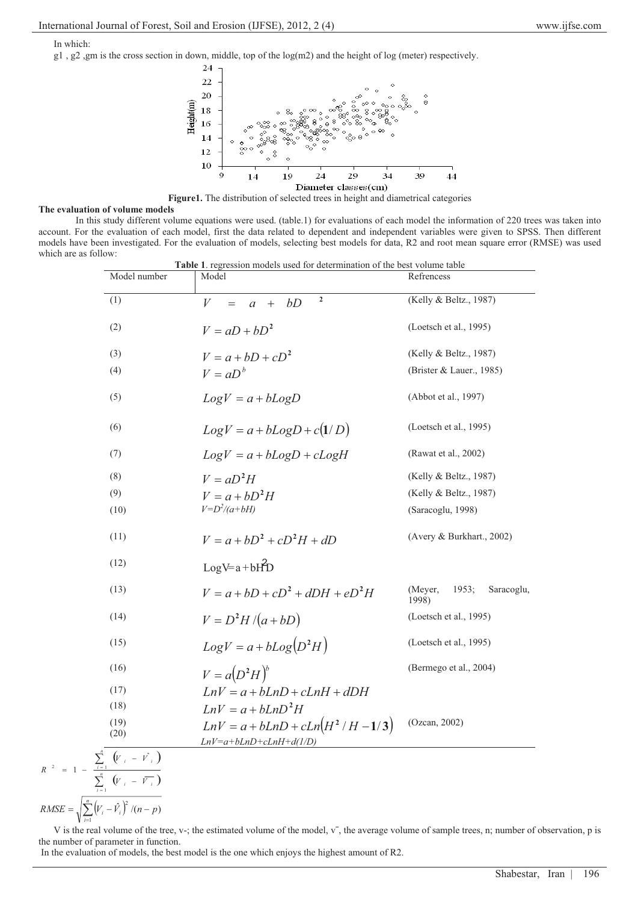In which:

g1 , g2 ,gm is the cross section in down, middle, top of the log(m2) and the height of log (meter) respectively.



**Figure1.** The distribution of selected trees in height and diametrical categories

# **The evaluation of volume models**

 In this study different volume equations were used. (table.1) for evaluations of each model the information of 220 trees was taken into account. For the evaluation of each model, first the data related to dependent and independent variables were given to SPSS. Then different models have been investigated. For the evaluation of models, selecting best models for data, R2 and root mean square error (RMSE) was used which are as follow:

| Model number | Model                                                  | Table 1. regression models used for determination of the best volume table<br>Refrencess |
|--------------|--------------------------------------------------------|------------------------------------------------------------------------------------------|
| (1)          | $\mathbf 2$<br>V<br>bD<br>$+$<br>$\mathfrak{a}$<br>$=$ | (Kelly & Beltz., 1987)                                                                   |
| (2)          | $V = aD + bD^2$                                        | (Loetsch et al., 1995)                                                                   |
| (3)          | $V = a + bD + cD^2$                                    | (Kelly & Beltz., 1987)                                                                   |
| (4)          | $V = aD^b$                                             | (Brister & Lauer., 1985)                                                                 |
| (5)          | $Log V = a + bLogD$                                    | (Abbot et al., 1997)                                                                     |
| (6)          | $Log V = a + bLog D + c(1/D)$                          | (Loetsch et al., 1995)                                                                   |
| (7)          | $LogV = a + bLogD + cLogH$                             | (Rawat et al., 2002)                                                                     |
| (8)          | $V = aD^2H$                                            | (Kelly & Beltz., 1987)                                                                   |
| (9)          | $V = a + bD^2H$                                        | (Kelly & Beltz., 1987)                                                                   |
| (10)         | $V=D^2/(a+bH)$                                         | (Saracoglu, 1998)                                                                        |
| (11)         | $V = a + bD^2 + cD^2H + dD$                            | (Avery & Burkhart., 2002)                                                                |
| (12)         | $LogV=a+bH2D$                                          |                                                                                          |
| (13)         | $V = a + bD + cD^2 + dDH + eD^2H$                      | (Meyer,<br>1953;<br>Saracoglu,<br>1998)                                                  |
| (14)         | $V = D^2H/(a+bD)$                                      | (Loetsch et al., 1995)                                                                   |
| (15)         | $Log V = a + bLog(D^2H)$                               | (Loetsch et al., 1995)                                                                   |
| (16)         | $V = a(D^2H)^b$                                        | (Bermego et al., 2004)                                                                   |
| (17)         | $LnV = a + bLnD + cLnH + dDH$                          |                                                                                          |
| (18)         | $LnV = a + hLnD^2H$                                    |                                                                                          |
| (19)<br>(20) | $LnV = a + bLnD + cLn(H^2/H - 1/3)$                    | (Ozcan, 2002)                                                                            |
|              | $LnV=a+bLnD+cLnH+d(1/D)$                               |                                                                                          |

 $\sum_{i=1}^n \left(V_i - \hat{V}_i\right)$  $=\int_{0}^{\pi} (V_{1} - V_{2})^{2} (n RMSE = \sqrt{\sum_{i=1}^{N} (V_i - V_i)}$  /(n – p  $\hat{Z}_i^2 (n-p)$ 

*R*

V is the real volume of the tree, v-; the estimated volume of the model, v<sup>-</sup>, the average volume of sample trees, n; number of observation, p is the number of parameter in function.

In the evaluation of models, the best model is the one which enjoys the highest amount of R2.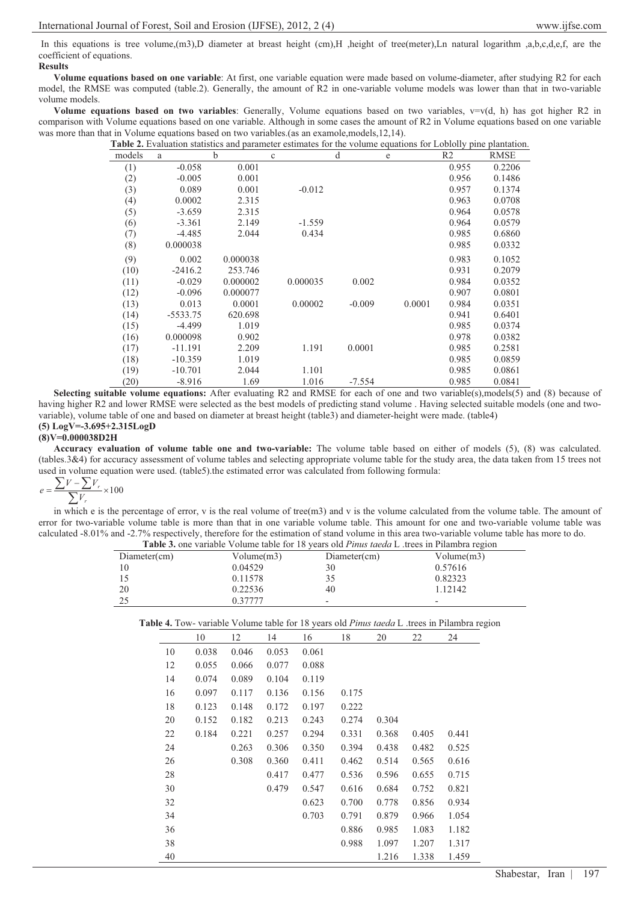In this equations is tree volume,(m3),D diameter at breast height (cm),H ,height of tree(meter),Ln natural logarithm ,a,b,c,d,e,f, are the coefficient of equations.

# **Results**

**Volume equations based on one variable**: At first, one variable equation were made based on volume-diameter, after studying R2 for each model, the RMSE was computed (table.2). Generally, the amount of R2 in one-variable volume models was lower than that in two-variable volume models.

**Volume equations based on two variables**: Generally, Volume equations based on two variables, v=v(d, h) has got higher R2 in comparison with Volume equations based on one variable. Although in some cases the amount of R2 in Volume equations based on one variable was more than that in Volume equations based on two variables.(as an examole,models,12,14).

|        |            |          | <b>Table 2.</b> Evaluation statistics and parameter estimates for the volume equations for Loblolly pine plantation. |          |        |                |             |
|--------|------------|----------|----------------------------------------------------------------------------------------------------------------------|----------|--------|----------------|-------------|
| models | a          | b        | $\mathbf{c}$                                                                                                         | d        | e      | R <sub>2</sub> | <b>RMSE</b> |
| (1)    | $-0.058$   | 0.001    |                                                                                                                      |          |        | 0.955          | 0.2206      |
| (2)    | $-0.005$   | 0.001    |                                                                                                                      |          |        | 0.956          | 0.1486      |
| (3)    | 0.089      | 0.001    | $-0.012$                                                                                                             |          |        | 0.957          | 0.1374      |
| (4)    | 0.0002     | 2.315    |                                                                                                                      |          |        | 0.963          | 0.0708      |
| (5)    | $-3.659$   | 2.315    |                                                                                                                      |          |        | 0.964          | 0.0578      |
| (6)    | $-3.361$   | 2.149    | $-1.559$                                                                                                             |          |        | 0.964          | 0.0579      |
| (7)    | $-4.485$   | 2.044    | 0.434                                                                                                                |          |        | 0.985          | 0.6860      |
| (8)    | 0.000038   |          |                                                                                                                      |          |        | 0.985          | 0.0332      |
| (9)    | 0.002      | 0.000038 |                                                                                                                      |          |        | 0.983          | 0.1052      |
| (10)   | $-2416.2$  | 253.746  |                                                                                                                      |          |        | 0.931          | 0.2079      |
| (11)   | $-0.029$   | 0.000002 | 0.000035                                                                                                             | 0.002    |        | 0.984          | 0.0352      |
| (12)   | $-0.096$   | 0.000077 |                                                                                                                      |          |        | 0.907          | 0.0801      |
| (13)   | 0.013      | 0.0001   | 0.00002                                                                                                              | $-0.009$ | 0.0001 | 0.984          | 0.0351      |
| (14)   | $-5533.75$ | 620.698  |                                                                                                                      |          |        | 0.941          | 0.6401      |
| (15)   | $-4.499$   | 1.019    |                                                                                                                      |          |        | 0.985          | 0.0374      |
| (16)   | 0.000098   | 0.902    |                                                                                                                      |          |        | 0.978          | 0.0382      |
| (17)   | $-11.191$  | 2.209    | 1.191                                                                                                                | 0.0001   |        | 0.985          | 0.2581      |
| (18)   | $-10.359$  | 1.019    |                                                                                                                      |          |        | 0.985          | 0.0859      |
| (19)   | $-10.701$  | 2.044    | 1.101                                                                                                                |          |        | 0.985          | 0.0861      |
| (20)   | $-8.916$   | 1.69     | 1.016                                                                                                                | $-7.554$ |        | 0.985          | 0.0841      |

**Selecting suitable volume equations:** After evaluating R2 and RMSE for each of one and two variable(s),models(5) and (8) because of having higher R2 and lower RMSE were selected as the best models of predicting stand volume . Having selected suitable models (one and twovariable), volume table of one and based on diameter at breast height (table3) and diameter-height were made. (table4) **(5) LogV=-3.695+2.315LogD** 

### **(8)V=0.000038D2H**

**Accuracy evaluation of volume table one and two-variable:** The volume table based on either of models (5), (8) was calculated. (tables.3&4) for accuracy assessment of volume tables and selecting appropriate volume table for the study area, the data taken from 15 trees not used in volume equation were used. (table5).the estimated error was calculated from following formula:<br> $\sum V - \sum V_r$ 

$$
e = \frac{\sum V - \sum V_r}{\sum V_r} \times 100
$$

in which e is the percentage of error, v is the real volume of tree(m3) and v is the volume calculated from the volume table. The amount of error for two-variable volume table is more than that in one variable volume table. This amount for one and two-variable volume table was calculated -8.01% and -2.7% respectively, therefore for the estimation of stand volume in this area two-variable volume table has more to do.

| <b>Table 3.</b> one variable Volume table for 18 years old <i>Pinus taeda</i> L trees in Pilambra region |            |                          |                          |  |  |  |
|----------------------------------------------------------------------------------------------------------|------------|--------------------------|--------------------------|--|--|--|
| Diameter(cm)                                                                                             | Volume(m3) | Diameter(cm)             | Volume(m3)               |  |  |  |
| 10                                                                                                       | 0.04529    | 30                       | 0.57616                  |  |  |  |
|                                                                                                          | 0.11578    | 35                       | 0.82323                  |  |  |  |
| 20                                                                                                       | 0.22536    | 40                       | 1.12142                  |  |  |  |
| 25                                                                                                       | 0.37777    | $\overline{\phantom{0}}$ | $\overline{\phantom{0}}$ |  |  |  |

**Table 4.** Tow- variable Volume table for 18 years old *Pinus taeda* L .trees in Pilambra region

|    | 10    | 12    | 14    | 16    | 18    | 20    | 22    | 24    |
|----|-------|-------|-------|-------|-------|-------|-------|-------|
| 10 | 0.038 | 0.046 | 0.053 | 0.061 |       |       |       |       |
| 12 | 0.055 | 0.066 | 0.077 | 0.088 |       |       |       |       |
| 14 | 0.074 | 0.089 | 0.104 | 0.119 |       |       |       |       |
| 16 | 0.097 | 0.117 | 0.136 | 0.156 | 0.175 |       |       |       |
| 18 | 0.123 | 0.148 | 0.172 | 0.197 | 0.222 |       |       |       |
| 20 | 0.152 | 0.182 | 0.213 | 0.243 | 0.274 | 0.304 |       |       |
| 22 | 0.184 | 0.221 | 0.257 | 0.294 | 0.331 | 0.368 | 0.405 | 0.441 |
| 24 |       | 0.263 | 0.306 | 0.350 | 0.394 | 0.438 | 0.482 | 0.525 |
| 26 |       | 0.308 | 0.360 | 0.411 | 0.462 | 0.514 | 0.565 | 0.616 |
| 28 |       |       | 0.417 | 0.477 | 0.536 | 0.596 | 0.655 | 0.715 |
| 30 |       |       | 0.479 | 0.547 | 0.616 | 0.684 | 0.752 | 0.821 |
| 32 |       |       |       | 0.623 | 0.700 | 0.778 | 0.856 | 0.934 |
| 34 |       |       |       | 0.703 | 0.791 | 0.879 | 0.966 | 1.054 |
| 36 |       |       |       |       | 0.886 | 0.985 | 1.083 | 1.182 |
| 38 |       |       |       |       | 0.988 | 1.097 | 1.207 | 1.317 |
| 40 |       |       |       |       |       | 1.216 | 1.338 | 1.459 |